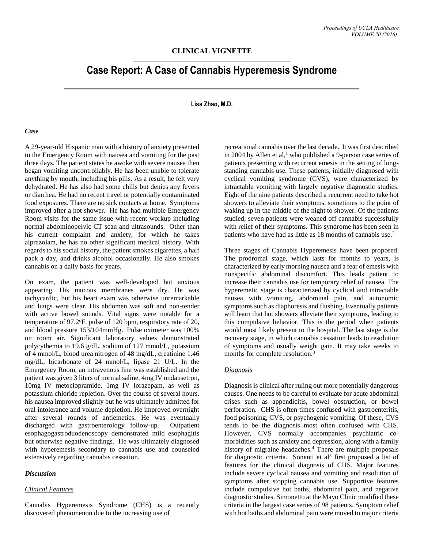# **CLINICAL VIGNETTE**

# **Case Report: A Case of Cannabis Hyperemesis Syndrome**

## **Lisa Zhao, M.D.**

#### *Case*

A 29-year-old Hispanic man with a history of anxiety presented to the Emergency Room with nausea and vomiting for the past three days. The patient states he awoke with severe nausea then began vomiting uncontrollably. He has been unable to tolerate anything by mouth, including his pills. As a result, he felt very dehydrated. He has also had some chills but denies any fevers or diarrhea. He had no recent travel or potentially contaminated food exposures. There are no sick contacts at home. Symptoms improved after a hot shower. He has had multiple Emergency Room visits for the same issue with recent workup including normal abdominopelvic CT scan and ultrasounds. Other than his current complaint and anxiety, for which he takes alprazolam, he has no other significant medical history. With regards to his social history, the patient smokes cigarettes, a half pack a day, and drinks alcohol occasionally. He also smokes cannabis on a daily basis for years.

On exam, the patient was well-developed but anxious appearing. His mucous membranes were dry. He was tachycardic, but his heart exam was otherwise unremarkable and lungs were clear. His abdomen was soft and non-tender with active bowel sounds. Vital signs were notable for a temperature of 97.2°F, pulse of 120 bpm, respiratory rate of 20, and blood pressure 153/104mmHg. Pulse oximeter was 100% on room air. Significant laboratory values demonstrated polycythemia to 19.6 g/dL, sodium of 127 mmol/L, potassium of 4 mmol/L, blood urea nitrogen of 48 mg/dL, creatinine 1.46 mg/dL, bicarbonate of 24 mmol/L, lipase 21 U/L. In the Emergency Room, an intravenous line was established and the patient was given 3 liters of normal saline, 4mg IV ondansetron, 10mg IV metoclopramide, 1mg IV lorazepam, as well as potassium chloride repletion. Over the course of several hours, his nausea improved slightly but he was ultimately admitted for oral intolerance and volume depletion. He improved overnight after several rounds of antiemetics. He was eventually discharged with gastroenterology follow-up. Outpatient esophagogastroduodenoscopy demonstrated mild esophagitis but otherwise negative findings. He was ultimately diagnosed with hyperemesis secondary to cannabis use and counseled extensively regarding cannabis cessation.

#### *Discussion*

## *Clinical Features*

Cannabis Hyperemesis Syndrome (CHS) is a recently discovered phenomenon due to the increasing use of

recreational cannabis over the last decade. It was first described in 2004 by Allen et al,<sup>1</sup> who published a 9-person case series of patients presenting with recurrent emesis in the setting of longstanding cannabis use. These patients, initially diagnosed with cyclical vomiting syndrome (CVS), were characterized by intractable vomiting with largely negative diagnostic studies. Eight of the nine patients described a recurrent need to take hot showers to alleviate their symptoms, sometimes to the point of waking up in the middle of the night to shower. Of the patients studied, seven patients were weaned off cannabis successfully with relief of their symptoms. This syndrome has been seen in patients who have had as little as 18 months of cannabis use.<sup>2</sup>

Three stages of Cannabis Hyperemesis have been proposed. The prodromal stage, which lasts for months to years, is characterized by early morning nausea and a fear of emesis with nonspecific abdominal discomfort. This leads patient to increase their cannabis use for temporary relief of nausea. The hyperemetic stage is characterized by cyclical and intractable nausea with vomiting, abdominal pain, and autonomic symptoms such as diaphoresis and flushing. Eventually patients will learn that hot showers alleviate their symptoms, leading to this compulsive behavior. This is the period when patients would most likely present to the hospital. The last stage is the recovery stage, in which cannabis cessation leads to resolution of symptoms and usually weight gain. It may take weeks to months for complete resolution. 3

#### *Diagnosis*

Diagnosis is clinical after ruling out more potentially dangerous causes. One needs to be careful to evaluate for acute abdominal crises such as appendicitis, bowel obstruction, or bowel perforation. CHS is often times confused with gastroenteritis, food poisoning, CVS, or psychogenic vomiting. Of these, CVS tends to be the diagnosis most often confused with CHS. However, CVS normally accompanies psychiatric comorbidities such as anxiety and depression, along with a family history of migraine headaches.<sup>4</sup> There are multiple proposals for diagnostic criteria. Sonenti et al<sup>5</sup> first proposed a list of features for the clinical diagnosis of CHS. Major features include severe cyclical nausea and vomiting and resolution of symptoms after stopping cannabis use. Supportive features include compulsive hot baths, abdominal pain, and negative diagnostic studies. Simonetto at the Mayo Clinic modified these criteria in the largest case series of 98 patients. Symptom relief with hot baths and abdominal pain were moved to major criteria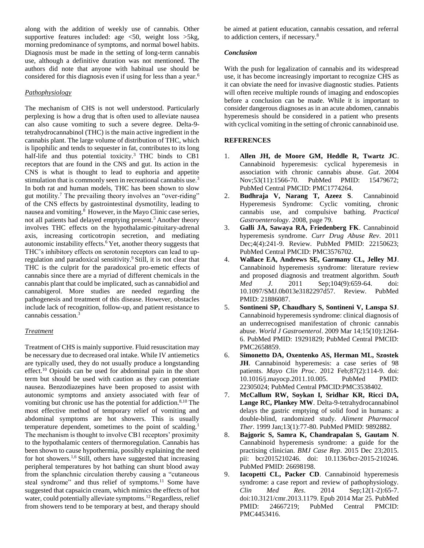along with the addition of weekly use of cannabis. Other supportive features included: age  $\lt 50$ , weight loss  $>5kg$ , morning predominance of symptoms, and normal bowel habits. Diagnosis must be made in the setting of long-term cannabis use, although a definitive duration was not mentioned. The authors did note that anyone with habitual use should be considered for this diagnosis even if using for less than a year.<sup>6</sup>

# *Pathophysiology*

The mechanism of CHS is not well understood. Particularly perplexing is how a drug that is often used to alleviate nausea can also cause vomiting to such a severe degree. Delta-9 tetrahydrocannabinol (THC) is the main active ingredient in the cannabis plant. The large volume of distribution of THC, which is lipophilic and tends to sequester in fat, contributes to its long half-life and thus potential toxicity.<sup>3</sup> THC binds to CB1 receptors that are found in the CNS and gut. Its action in the CNS is what is thought to lead to euphoria and appetite stimulation that is commonly seen in recreational cannabis use.<sup>3</sup> In both rat and human models, THC has been shown to slow gut motility.<sup>7</sup> The prevailing theory involves an "over-riding" of the CNS effects by gastrointestinal dysmotility, leading to nausea and vomiting.<sup>8</sup> However, in the Mayo Clinic case series, not all patients had delayed emptying present.<sup>5</sup> Another theory involves THC effects on the hypothalamic-pituitary-adrenal axis, increasing corticotropin secretion, and mediating autonomic instability effects.<sup>6</sup> Yet, another theory suggests that THC's inhibitory effects on serotonin receptors can lead to upregulation and paradoxical sensitivity.<sup>9</sup> Still, it is not clear that THC is the culprit for the paradoxical pro-emetic effects of cannabis since there are a myriad of different chemicals in the cannabis plant that could be implicated, such as cannabidiol and cannabigerol. More studies are needed regarding the pathogenesis and treatment of this disease. However, obstacles include lack of recognition, follow-up, and patient resistance to cannabis cessation.<sup>3</sup>

## *Treatment*

Treatment of CHS is mainly supportive. Fluid resuscitation may be necessary due to decreased oral intake. While IV antiemetics are typically used, they do not usually produce a longstanding effect.<sup>10</sup> Opioids can be used for abdominal pain in the short term but should be used with caution as they can potentiate nausea. Benzodiazepines have been proposed to assist with autonomic symptoms and anxiety associated with fear of vomiting but chronic use has the potential for addiction.<sup>8,10</sup> The most effective method of temporary relief of vomiting and abdominal symptoms are hot showers. This is usually temperature dependent, sometimes to the point of scalding.<sup>1</sup> The mechanism is thought to involve CB1 receptors' proximity to the hypothalamic centers of thermoregulation. Cannabis has been shown to cause hypothermia, possibly explaining the need for hot showers.<sup>1,6</sup> Still, others have suggested that increasing peripheral temperatures by hot bathing can shunt blood away from the splanchnic circulation thereby causing a "cutaneous steal syndrome" and thus relief of symptoms.<sup>11</sup> Some have suggested that capsaicin cream, which mimics the effects of hot water, could potentially alleviate symptoms.<sup>12</sup>Regardless, relief from showers tend to be temporary at best, and therapy should

be aimed at patient education, cannabis cessation, and referral to addiction centers, if necessary.<sup>8</sup>

# *Conclusion*

With the push for legalization of cannabis and its widespread use, it has become increasingly important to recognize CHS as it can obviate the need for invasive diagnostic studies. Patients will often receive multiple rounds of imaging and endoscopies before a conclusion can be made. While it is important to consider dangerous diagnoses as in an acute abdomen, cannabis hyperemesis should be considered in a patient who presents with cyclical vomiting in the setting of chronic cannabinoid use.

## **REFERENCES**

- 1. **Allen JH, de Moore GM, Heddle R, Twartz JC**. Cannabinoid hyperemesis: cyclical hyperemesis in association with chronic cannabis abuse. *Gut*. 2004 Nov;53(11):1566-70. PubMed PMID: 15479672; PubMed Central PMCID: PMC1774264.
- 2. **Budhraja V, Narang T, Azeez S**. Cannabinoid Hyperemesis Syndrome: Cyclic vomiting, chronic cannabis use, and compulsive bathing. *Practical Gastroenterology*. 2008, page 79.
- 3. **Galli JA, Sawaya RA, Friedenberg FK**. Cannabinoid hyperemesis syndrome. *Curr Drug Abuse Rev*. 2011 Dec;4(4):241-9. Review. PubMed PMID: 22150623; PubMed Central PMCID: PMC3576702.
- 4. **Wallace EA, Andrews SE, Garmany CL, Jelley MJ**. Cannabinoid hyperemesis syndrome: literature review and proposed diagnosis and treatment algorithm. *South Med J*. 2011 Sep;104(9):659-64. doi: 10.1097/SMJ.0b013e3182297d57. Review. PubMed PMID: 21886087.
- 5. **Sontineni SP, Chaudhary S, Sontineni V, Lanspa SJ**. Cannabinoid hyperemesis syndrome: clinical diagnosis of an underrecognised manifestation of chronic cannabis abuse. *World J Gastroenterol*. 2009 Mar 14;15(10):1264- 6. PubMed PMID: 19291829; PubMed Central PMCID: PMC2658859.
- 6. **Simonetto DA, Oxentenko AS, Herman ML, Szostek JH**. Cannabinoid hyperemesis: a case series of 98 patients. *Mayo Clin Proc*. 2012 Feb;87(2):114-9. doi: 10.1016/j.mayocp.2011.10.005. PubMed PMID: 22305024; PubMed Central PMCID:PMC3538402.
- 7. **McCallum RW, Soykan I, Sridhar KR, Ricci DA, Lange RC, Plankey MW**. Delta-9-tetrahydrocannabinol delays the gastric emptying of solid food in humans: a double-blind, randomized study. *Aliment Pharmacol Ther*. 1999 Jan;13(1):77-80. PubMed PMID: 9892882.
- 8. **Bajgoric S, Samra K, Chandrapalan S, Gautam N**. Cannabinoid hyperemesis syndrome: a guide for the practising clinician. *BMJ Case Rep*. 2015 Dec 23;2015. pii: bcr2015210246. doi: 10.1136/bcr-2015-210246. PubMed PMID: 26698198.
- 9. **Iacopetti CL, Packer CD**. Cannabinoid hyperemesis syndrome: a case report and review of pathophysiology. *Clin Med Res*. 2014 Sep;12(1-2):65-7. doi:10.3121/cmr.2013.1179. Epub 2014 Mar 25. PubMed PMID: 24667219; PubMed Central PMCID: PMC4453416.